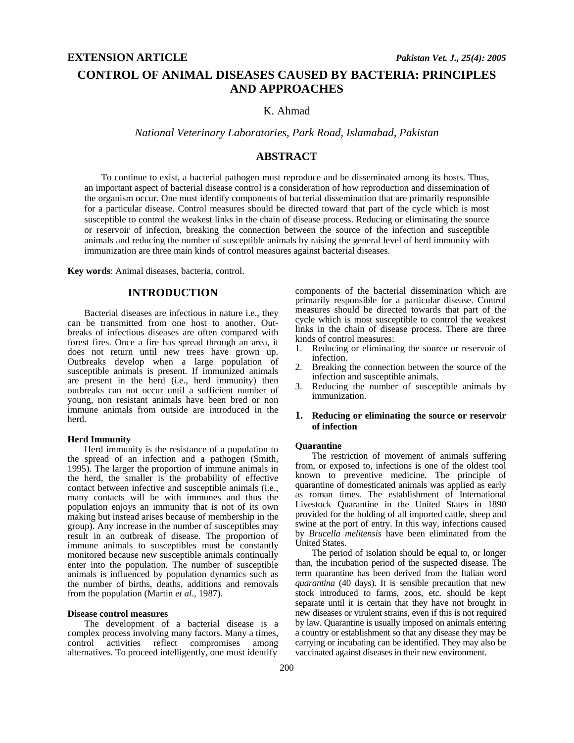# **CONTROL OF ANIMAL DISEASES CAUSED BY BACTERIA: PRINCIPLES AND APPROACHES**

## K. Ahmad

*National Veterinary Laboratories, Park Road, Islamabad, Pakistan* 

## **ABSTRACT**

To continue to exist, a bacterial pathogen must reproduce and be disseminated among its hosts. Thus, an important aspect of bacterial disease control is a consideration of how reproduction and dissemination of the organism occur. One must identify components of bacterial dissemination that are primarily responsible for a particular disease. Control measures should be directed toward that part of the cycle which is most susceptible to control the weakest links in the chain of disease process. Reducing or eliminating the source or reservoir of infection, breaking the connection between the source of the infection and susceptible animals and reducing the number of susceptible animals by raising the general level of herd immunity with immunization are three main kinds of control measures against bacterial diseases.

**Key words**: Animal diseases, bacteria, control.

## **INTRODUCTION**

Bacterial diseases are infectious in nature i.e., they can be transmitted from one host to another. Outbreaks of infectious diseases are often compared with forest fires. Once a fire has spread through an area, it does not return until new trees have grown up. Outbreaks develop when a large population of susceptible animals is present. If immunized animals are present in the herd (i.e., herd immunity) then outbreaks can not occur until a sufficient number of young, non resistant animals have been bred or non immune animals from outside are introduced in the herd.

### **Herd Immunity**

Herd immunity is the resistance of a population to the spread of an infection and a pathogen (Smith, 1995). The larger the proportion of immune animals in the herd, the smaller is the probability of effective contact between infective and susceptible animals (i.e., many contacts will be with immunes and thus the population enjoys an immunity that is not of its own making but instead arises because of membership in the group). Any increase in the number of susceptibles may result in an outbreak of disease. The proportion of immune animals to susceptibles must be constantly monitored because new susceptible animals continually enter into the population. The number of susceptible animals is influenced by population dynamics such as the number of births, deaths, additions and removals from the population (Martin *et al*., 1987).

#### **Disease control measures**

The development of a bacterial disease is a complex process involving many factors. Many a times, control activities reflect compromises among alternatives. To proceed intelligently, one must identify

components of the bacterial dissemination which are primarily responsible for a particular disease. Control measures should be directed towards that part of the cycle which is most susceptible to control the weakest links in the chain of disease process. There are three kinds of control measures:

- 1. Reducing or eliminating the source or reservoir of infection.
- 2. Breaking the connection between the source of the infection and susceptible animals.
- 3. Reducing the number of susceptible animals by immunization.

## **1. Reducing or eliminating the source or reservoir of infection**

#### **Quarantine**

The restriction of movement of animals suffering from, or exposed to, infections is one of the oldest tool known to preventive medicine. The principle of quarantine of domesticated animals was applied as early as roman times. The establishment of International Livestock Quarantine in the United States in 1890 provided for the holding of all imported cattle, sheep and swine at the port of entry. In this way, infections caused by *Brucella melitensis* have been eliminated from the United States.

The period of isolation should be equal to, or longer than, the incubation period of the suspected disease. The term quarantine has been derived from the Italian word *quarantina* (40 days). It is sensible precaution that new stock introduced to farms, zoos, etc. should be kept separate until it is certain that they have not brought in new diseases or virulent strains, even if this is not required by law. Quarantine is usually imposed on animals entering a country or establishment so that any disease they may be carrying or incubating can be identified. They may also be vaccinated against diseases in their new environment.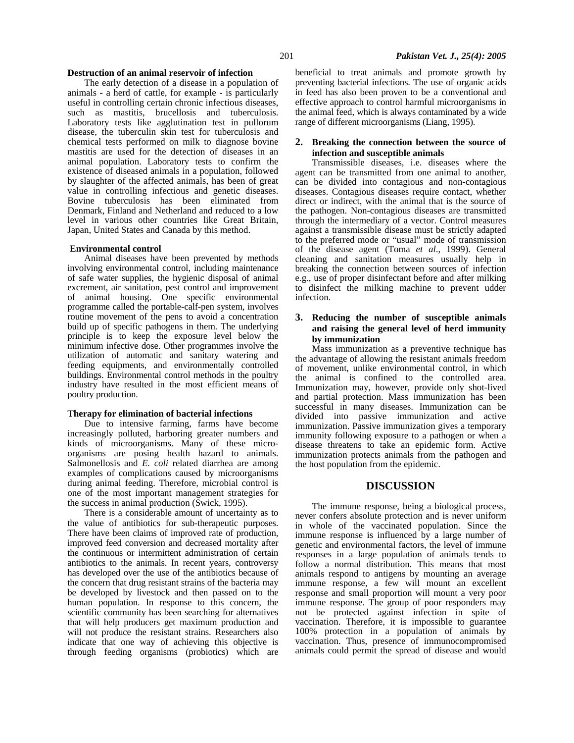#### **Destruction of an animal reservoir of infection**

The early detection of a disease in a population of animals - a herd of cattle, for example - is particularly useful in controlling certain chronic infectious diseases, such as mastitis, brucellosis and tuberculosis. Laboratory tests like agglutination test in pullorum disease, the tuberculin skin test for tuberculosis and chemical tests performed on milk to diagnose bovine mastitis are used for the detection of diseases in an animal population. Laboratory tests to confirm the existence of diseased animals in a population, followed by slaughter of the affected animals, has been of great value in controlling infectious and genetic diseases. Bovine tuberculosis has been eliminated from Denmark, Finland and Netherland and reduced to a low level in various other countries like Great Britain, Japan, United States and Canada by this method.

#### **Environmental control**

Animal diseases have been prevented by methods involving environmental control, including maintenance of safe water supplies, the hygienic disposal of animal excrement, air sanitation, pest control and improvement of animal housing. One specific environmental programme called the portable-calf-pen system, involves routine movement of the pens to avoid a concentration build up of specific pathogens in them. The underlying principle is to keep the exposure level below the minimum infective dose. Other programmes involve the utilization of automatic and sanitary watering and feeding equipments, and environmentally controlled buildings. Environmental control methods in the poultry industry have resulted in the most efficient means of poultry production.

#### **Therapy for elimination of bacterial infections**

Due to intensive farming, farms have become increasingly polluted, harboring greater numbers and kinds of microorganisms. Many of these microorganisms are posing health hazard to animals. Salmonellosis and *E. coli* related diarrhea are among examples of complications caused by microorganisms during animal feeding. Therefore, microbial control is one of the most important management strategies for the success in animal production (Swick, 1995).

There is a considerable amount of uncertainty as to the value of antibiotics for sub-therapeutic purposes. There have been claims of improved rate of production, improved feed conversion and decreased mortality after the continuous or intermittent administration of certain antibiotics to the animals. In recent years, controversy has developed over the use of the antibiotics because of the concern that drug resistant strains of the bacteria may be developed by livestock and then passed on to the human population. In response to this concern, the scientific community has been searching for alternatives that will help producers get maximum production and will not produce the resistant strains. Researchers also indicate that one way of achieving this objective is through feeding organisms (probiotics) which are

beneficial to treat animals and promote growth by preventing bacterial infections. The use of organic acids in feed has also been proven to be a conventional and effective approach to control harmful microorganisms in the animal feed, which is always contaminated by a wide range of different microorganisms (Liang, 1995).

#### **2. Breaking the connection between the source of infection and susceptible animals**

Transmissible diseases, i.e. diseases where the agent can be transmitted from one animal to another, can be divided into contagious and non-contagious diseases. Contagious diseases require contact, whether direct or indirect, with the animal that is the source of the pathogen. Non-contagious diseases are transmitted through the intermediary of a vector. Control measures against a transmissible disease must be strictly adapted to the preferred mode or "usual" mode of transmission of the disease agent (Toma *et al*., 1999). General cleaning and sanitation measures usually help in breaking the connection between sources of infection e.g., use of proper disinfectant before and after milking to disinfect the milking machine to prevent udder infection.

## **3. Reducing the number of susceptible animals and raising the general level of herd immunity by immunization**

Mass immunization as a preventive technique has the advantage of allowing the resistant animals freedom of movement, unlike environmental control, in which the animal is confined to the controlled area. Immunization may, however, provide only shot-lived and partial protection. Mass immunization has been successful in many diseases. Immunization can be divided into passive immunization and active immunization. Passive immunization gives a temporary immunity following exposure to a pathogen or when a disease threatens to take an epidemic form. Active immunization protects animals from the pathogen and the host population from the epidemic.

### **DISCUSSION**

The immune response, being a biological process, never confers absolute protection and is never uniform in whole of the vaccinated population. Since the immune response is influenced by a large number of genetic and environmental factors, the level of immune responses in a large population of animals tends to follow a normal distribution. This means that most animals respond to antigens by mounting an average immune response, a few will mount an excellent response and small proportion will mount a very poor immune response. The group of poor responders may not be protected against infection in spite of vaccination. Therefore, it is impossible to guarantee 100% protection in a population of animals by vaccination. Thus, presence of immunocompromised animals could permit the spread of disease and would